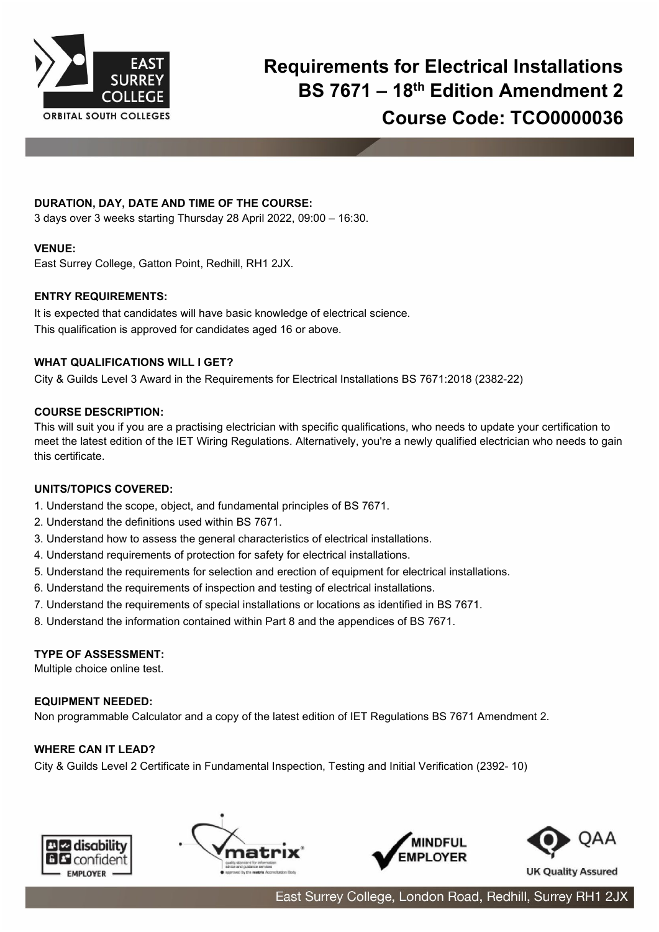

# **Requirements for Electrical Installations BS 7671 – 18th Edition Amendment 2 Course Code: TCO0000036**

## **DURATION, DAY, DATE AND TIME OF THE COURSE:**

3 days over 3 weeks starting Thursday 28 April 2022, 09:00 – 16:30.

#### **VENUE:**

East Surrey College, Gatton Point, Redhill, RH1 2JX.

#### **ENTRY REQUIREMENTS:**

It is expected that candidates will have basic knowledge of electrical science. This qualification is approved for candidates aged 16 or above.

#### **WHAT QUALIFICATIONS WILL I GET?**

City & Guilds Level 3 Award in the Requirements for Electrical Installations BS 7671:2018 (2382-22)

#### **COURSE DESCRIPTION:**

This will suit you if you are a practising electrician with specific qualifications, who needs to update your certification to meet the latest edition of the IET Wiring Regulations. Alternatively, you're a newly qualified electrician who needs to gain this certificate.

#### **UNITS/TOPICS COVERED:**

- 1. Understand the scope, object, and fundamental principles of BS 7671.
- 2. Understand the definitions used within BS 7671.
- 3. Understand how to assess the general characteristics of electrical installations.
- 4. Understand requirements of protection for safety for electrical installations.
- 5. Understand the requirements for selection and erection of equipment for electrical installations.
- 6. Understand the requirements of inspection and testing of electrical installations.
- 7. Understand the requirements of special installations or locations as identified in BS 7671.
- 8. Understand the information contained within Part 8 and the appendices of BS 7671.

#### **TYPE OF ASSESSMENT:**

Multiple choice online test.

#### **EQUIPMENT NEEDED:**

Non programmable Calculator and a copy of the latest edition of IET Regulations BS 7671 Amendment 2.

#### **WHERE CAN IT LEAD?**

City & Guilds Level 2 Certificate in Fundamental Inspection, Testing and Initial Verification (2392- 10)









East Surrey College, London Road, Redhill, Surrey RH1 2JX